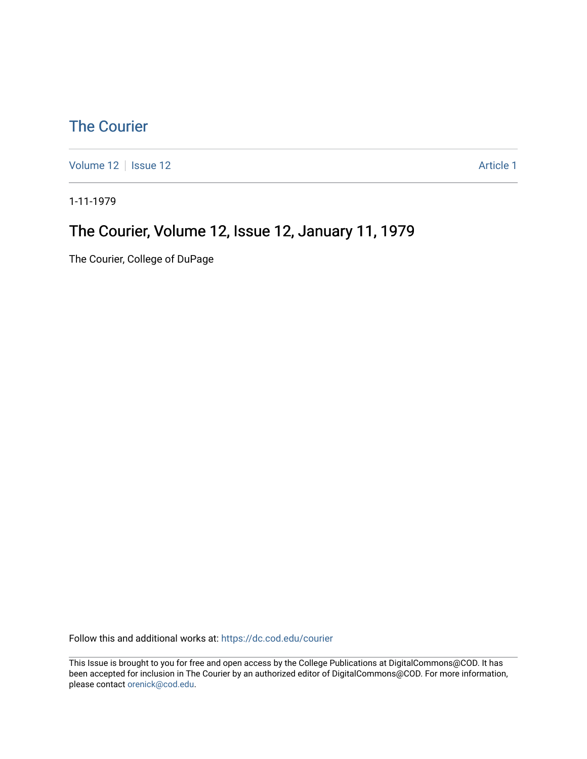#### [The Courier](https://dc.cod.edu/courier)

[Volume 12](https://dc.cod.edu/courier/vol12) | [Issue 12](https://dc.cod.edu/courier/vol12/iss12) |  $\blacksquare$ 

1-11-1979

#### The Courier, Volume 12, Issue 12, January 11, 1979

The Courier, College of DuPage

Follow this and additional works at: [https://dc.cod.edu/courier](https://dc.cod.edu/courier?utm_source=dc.cod.edu%2Fcourier%2Fvol12%2Fiss12%2F1&utm_medium=PDF&utm_campaign=PDFCoverPages)

This Issue is brought to you for free and open access by the College Publications at DigitalCommons@COD. It has been accepted for inclusion in The Courier by an authorized editor of DigitalCommons@COD. For more information, please contact [orenick@cod.edu.](mailto:orenick@cod.edu)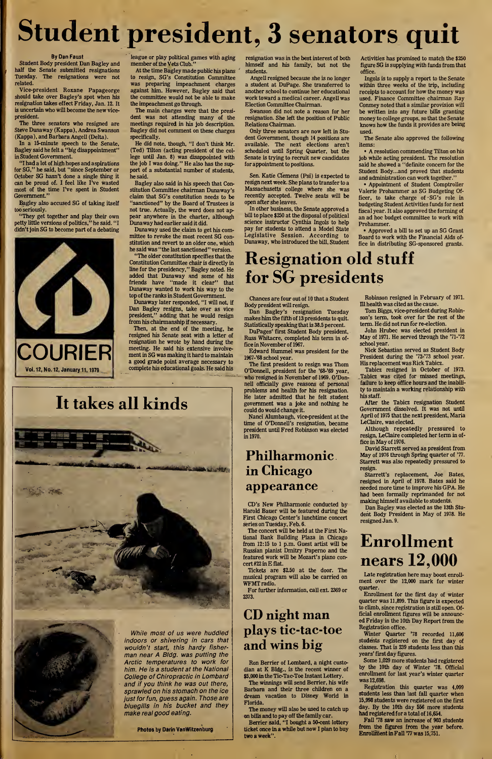# Student president, 3 senators quit

#### By Dan Faust

Student Body president Dan Bagley and half the Senate submitted resignations Tuesday. The resignations were not related.

Vice-president Roxane Papageorge should take over Bagley's spot when his resignation takes effect Friday, Jan. 12. It is uncertain who will become the new vicepresident.

The three senators who resigned are Steve Dunaway (Kappa), Andrea Swanson (Kappa), and Barbara Angell (Delta).

In a 15-minute speech to the Senate, Bagley said he felt a "big disappointment" in Student Government.

"I had a lot of high hopes and aspirations for SG," he said, but "since September or October SG hasn't done a single thing it can be proud of. I feel like I've wasted most of the time I've spent in Student Government."

Bagley also accused SG of taking itself too seriously.

"They get together and play their own petty little versions of politics," he said. "I didn't join SG to become part of a debating

COURIER Vol. 12, No. 12, January 11,1979

league or play political games with aging member of the Vets Club."

At the time Bagley made public his plans to resign, SG's Constitution Committee was preparing impeachment charges against him. However, Bagley said that the committee would not be able to make the impeachment go through.

The main charges were that the president was not attending many of the meetings required in his job description. Bagley did not comment on these charges specifically.

He did note, though, "I don't think Mr. (Ted) Tilton (acting president of the college until Jan. 8) was disappointed with the job I was doing." He also has the support of a substantial number of students, he said.

Bagley also said in his speech that Con stitution Committee chairman Dunaway's claim that SG's constitution needs to be "sanctioned" by the Board of Trustees is not true. Actually, the word does not appear anywhere in the charter, although Dunaway had earlier said it did.

Dunaway used the claim to get his com mittee to revoke the most recent SG constitution and revert to an older one, which he said was "the last sanctioned" version.

"The older constitution specifies that the Constitution Committee chair is directly in line for the presidency," Bagley noted. He added that Dunaway and some of his friends have "made it clear" that Dunaway wanted to work his way to the top of the ranks in Student Government.

Dunaway later responded, "I will not, if Dan Bagley resigns, take over as vice president," adding that he would resign from his chairmanship if necessary.

Then, at the end of the meeting, he resigned his Senate seat with a letter of resignation he wrote by hand during the meeting. He said his extensive involvement in SG was making it hard to maintain a good grade point average necessary to complete his educational goals. He said his

## It takes all kinds





While most of us were huddled indoors or shivering in cars that muldn't start, this hardy fisherman near A Bldg, was putting the Arctic temperatures to work for him. He is a student at the National College of Chiropractic in Lombard and if you think he was out there, sprawled on his stomach on the ice just for fun, guess again. Those are bluegills in his bucket and they make real good eating.

Photos by Darin VanWitzenburg

resignation was in the best interest of both himself and his family, but not the students.

Angell resigned because she is no longer a student at DuPage. She transferred to another school to continue her educational work toward a medical career. Angell was Election Committee Chairman.

Swanson did not note a reason for her resignation. She left the position of Public Relations Chairman.

Only three senators are now left in Student Government, though 14 positions are available. The next elections aren't scheduled until Spring Quarter, but the Senate is trying to recruit new candidates for appointment to positions.

Sen. Katie Clemens (Psi) is expected to resign next week. She plans to transfer to a Massachusetts college where she was recently accepted. Twelve seats will be open after she leaves.

In other business, the Senate approved a bill to place \$250 at the disposal of political science instructor Cynthia Ingols to help pay for students to attend a Model State Legislative Session. According to Dunaway, who introduced the bill, Student

Activities has promised to match the \$250 figure SG is supplying with funds from that office.

Ingols is to supply a report to the Senate within three weeks of the trip, including receipts to account for how the money was used. Finance Committee chairman Ray Conmey noted that a similar provision will be written into any future bills granting money to college groups, so that the Senate knows how the funds it provides are being used.

The Senate also approved the following items:

• A resolution commending Tilton on his job while acting president. The resolution said he showed a "definite concern for the Student Body...and proved that students and administration can work together."

• Appointment of Student Comptroller Valerie Prohammer as SG Budgeting Officer, to take charge of -SG's role in budgeting Student Activities funds for next fiscal year. It also approved the forming of an ad hoc budget committee to work with Prohammer.

• Approved a bill to set up an SG Grant Board to work with the Financial Aids office in distributing SG-sponsored grants.

## Resignation old stuff for SG presidents

Chances are four out of <sup>10</sup> that a Student Body president will resign.

Dan Bagley's resignation Tuesday makes him the fifth of 13 presidents to quit. Statistically speaking that is 38.5 percent. DuPages' first Student Body president,

Russ Whitacre, completed his term in office in November of 1967. Edward Hummel was president for the

1967-'68 school year.

The first president to resign was Thom O'Donnell, president for the '68-'69 year, who resigned in November of 1969. O'Donnell officially gave reasons of personal problems and health for his resignation. He later admitted that he felt student government was a joke and nothing he could do would change it.

Nanci Alumbaugh, vice-president at the time of O'Donnell's resignation, became president until Fred Robinson was elected in 1970.

#### Philharmonic in Chicago appearance

CD's New Philharmonic conducted by Harold Bauer will be featured during the First Chicago Center's lunchtime concert series on Tuesday, Feb. 6.

The concert will be held at the First National Bank Building Plaza in Chicago from 12:15 to <sup>1</sup> p.m. Guest artist will be Russian pianist Dmitry Papemo and the featured work will be Mozart's piano concert #22 in E flat.

Tickets are \$2.50 at the door. The musical program will also be carried on WFMT radio.

For further information, call ext. 2369 or 2373.

#### CD night man plays tic-tac-toe and wins big

Ron Berrier of Lombard, a night custodian at K Bldg., is the recent winner of \$5,000 in the Tic-Tac-Toe Instant Lottery.

The winnings will send Berrier, his wife Barbara and their three children on a dream vacation to Disney World in Florida.

The money will also be used to catch up on bills and to pay off the family car.

Berrier said, "I bought a 50-cent lottery ticket once in a while but now I plan to buy two a week".

Robinson resigned in February of 1971. Ill health was cited asthe cause.

Tom Biggs, vice-president during Robin son's term, took over for the rest of the term. He did not run for re-election.

John Hrubec was elected president in May of 1971. He served through the '71-'72 school year.

Nick Sebastian served as Student Body President during the '72-'73 school year. His replacement was Rick Tabicz.

Tabicz resigned in October of 1973. .Tabicz was cited for missed meetings, failure to keep office hours and the inability to maintain a working relationship with his staff.

After the Tabicz resignation Student Government dissolved. It was not until April of 1975 that the next president, Maria LeClaire, was elected.

Although repeatedly pressured to resign, LeClaire completed her term in office in May of 1976.

David Starrett served as president from May of 1976 through Spring quarter of '77. Starrett was also repeatedly pressured to resign.

Starrett's replacement, Joe Bates, resigned in April of 1978. Bates said he needed more time to improve his GPA. He had been formally reprimanded for not making himself available to students.

Dan Bagley was elected as the 13th Student Body President in May of 1978. He resigned Jan. 9.

## Enrollment nears 12,000

Late registration here may boost enrollment over the 12,000 mark for winter quarter.

Enrollment for the first day of winter quarter was 11,899. This figure is expected to climb, since registration is still open. Official enrollment figures will be announced Friday in the 10th Day Report from the Registration office.

Winter Quarter '78 recorded 11,606 students registered on the first day of classes. That is 239 students less than this years' first day figures.

Some 1,029 more students had registered by the 10th day of Winter '78. Official enrollment for last year's winter quarter was 12,698.

Registration this quarter was 4,099 students less than last fall quarter when 15,998 students were registered on the first day. By the 10th day 556 more students had registered for a total of 16,654.

Fall '78 saw an increase of 903 students from the figures from the year before. Enrollment in Fall '77 was 15,751.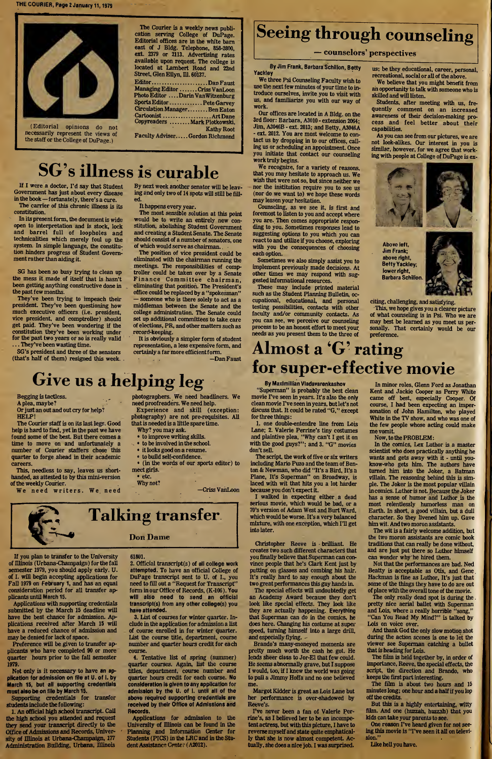THE COURIER, Page 2 January 11,1979



(Editorial opinions do not necessarily represent the views of the staff or the College of DuPage.)

The Courier is a weekly news publication serving College of DuPage. Editorial offices are in the white bam east of J Bldg. Telephone, 858-2800, ext. 2379 or 2113. Advertising rates available upon request. The college is located at Lambert Road and 22nd Street, Glen Ellyn, Ill. 60137.

Editor.DanFaust ManagingEditor.Criss VanLoon Photo Editor ....Darin VanWitzenburg Sports Editor ............. Pete Garvey Circulation Manager........ Ben Eaton Cartoonist.ArtDane Copyreaders.MarkPlotkowski,

**Kathy Root** Faculty Adviser..... Gordon Richmond

ing and only two of 14 spots will still be fill-

The most sensible solution at this point would be to write an entirely new constitution, abolishing Student Government and creating a Student Senate. The Senate should consist of a number of senators, one of which would serve as chairman.

The position of vice president could be eliminated with the chairman running the meetings. The responsibilities of comp-

It happens every year.

## Seeing through counseling

#### — counselors' perspectives

By Jim Frank, Barbara Schillon, Betty Yackley

We three Psi Counseling Faculty wish to use the next few minutes of your time to introduce ourselves, invite you to visit with us, and familiarize you with our way of work.

Our offices are located in A Bldg, on the 3rd floor: Barbara, A3010 - extension 2064; Jim, A3046B - ext. 2013; and Betty, A3046A - ext. 2012. You are most welcome to contact us by dropping in to our offices, calling us or scheduling an appointment. Once you initiate that contact our counseling work truly begins.

We recognize, for a variety of reasons, that you may hesitate to approach us. We wish that were not so, but since neither we nor the institution require you to see us (nor do we want to) we hope these words may lessen your hesitation.

Counseling, as we see it, is first and foremost to listen to you and accept where you are. Then comes appropriate responding to you. Sometimes responses lead to suggesting options to you which you can react to and utilize if you choose, exploring with you the consequences of choosing each option.

Sometimes we also simply assist you to implement previously made decisions. At other times we may respond with suggested informational resources.

These may include printed material such as the Student Planning Bulletin, occupational, educational, and personal testing possibilities, contacts with other faculty and/or community contacts. As you can see, we perceive our counseling process to be an honest effort to meet your needs as you present them to the three of us; be they educational, career, personal, recreational, social or all of the above.

We believe that you might benefit from an opportunity to talk with someone who is skilled and will listen.

Students, after meeting with us, fre quently comment on an increased awareness of their decision-making pro cess and feel better about their capabilities.

As you can see from our pictures, we are not look-alikes. Our interest in you is similar, however, for we agree that working with people at College of DuPage is ex-



Above left, Jim Frank; above right, Betty Yackley; lower right, Barbara Schillon.



citing, challenging, and satisfying.

This, we hope gives you a clearer picture of what counseling is in Psi. Who we are may best be learned as you meet us personally. That certainly would be our preference.

## Almost a 'G' rating for super-effective movie

By Maximillian Vladavarenkashov

"Superman" is probably the best clean movie I've seen in years. It's also the only clean movie I've seen in years, but let's not discussthat. It could be rated "G," except for three things:

1. one double-entendre line from Lois Lane; 2. Valerie Perrine's tiny costumes and plaintive plea, "Why can't I get it on with the good guys?"; and 3. "G" movies don'tsell.

The script, the work of five or six writers including Mario Puzo and the team of Benton & Newman, who did "It's a Bird, It's a Plane, It's Superman" on Broadway, is laced with wit that hits you a lot harder because you don't expect it.

I walked in expecting either a dead serious movie, which would be bad, or a 70's version of Adam West and Burt Ward, which would be worse. It's a very balanced mixture, with one exception, which I'll get into later.

Christopher Reeve is brilliant. He creates two such different characters that you finally believe that Superman can convince people that he's Clark Kent just by putting on glasses and combing his hair. It's really hard to say enough about the two great performances this guy hands in.

The special effects will undoubtedly get an Academy Award because they don't look like special effects. They look like they are actually happening. Everything that Superman can do in the comics, he does here. Changing his costume at super speed, turning himself into a large drill, and especially flying.

Brando's many-moneyed moments are pretty much worth the cash he got. He lends sheer class to Jor-El that few could. He seems abnormally grave, but I suppose I would, too, if I knew the world was going to pull a Jimmy Hoffa and no one believed me.

Margot Kidder is great as Lois Lane but her performance is over-shadowed by Reeve's.

I've never been a fan of Valerie Per rine's, as I believed her to be an incompetent actress, but with this picture, Ihave to reverse myself and state quite emphatically that she is now almost competent. Actually, she does a nice job. I was surprised.

In minor roles, Glenn Ford as Jonathan Kent and Jackie Cooper as Perry White came off best, especially Cooper. Of course, I had been expecting an impersonation of John Hamilton, who played White in the TV show, and who was one of the few people whose acting could make me vomit.

Now, to the PROBLEM:

In the comics, Lex Luthor is a master scientist who does practically anything he wants and gets away with it - until youknow-who gets him. The authors have turned him into the Joker, a Batman villain. The reasoning behind this is simple. The Joker is the most popular villain in comics. Luthor is not. Because the Joker has a sense of humor and Luthor is the most relentlessly humorless man on Earth. In short, a good villain, but a dull character. So they livened him up. Gave him wit. And two moron assistants.

The wit is a fairly welcome addition, but the two moron assistants are comic book traditions that can really be done without, and are just put there so Luthor himself can wonder why he hired them.

Not that the performances are bad. Ned Beatty is acceptable as Otis, and Gene Hackman is fine as Luthor, It's just that some of the things they have to do are out of place with the overall tone of the movie.

The only really dead spot is during the pretty nice aerial ballet with Superman and Lois, where a really horrible "song," "Can You Read My Mind?" is talked by Lois on voice over.

And thank God the only slow motion shot during the action scenes is one to let the viewer see Superman catching a bullet that is heading for Lois.

The film is held together by, in order of importance, Reeve, the special effects, the script, the direction and Brando, who keeps the first part interesting.

The film is about two hours and <sup>15</sup> minutes long; one hour and a half if you lop off the credits.

But this is a highly entertaining, witty film. And one (huzzah, huzzah) that you kids can take your parents to see.

One reason I've heard given for not seeing this movie is "I've seen it all on television."

Like hell you have.

#### SG's illness is curable If I were a doctor. I'd say that Student By next week another senator will be leav-

ed.

Government has just about every disease in the book — fortunately, there's a cure. The carrier of this chronic illness is its

constitution. In its present form, the document is wide open to interpretation and is stock, lock and barrel full of loopholes and technicalities which merely foul up the system. In simple language, the constitution hinders progress of Student Government rather than aiding it.

SG has been so busy trying to clean up the mess it made of itself that is hasn't been getting anything constructive done in the past few months.

They've been trying to impeach their president. They've been questioning how much executive officers (i.e. president, vice president, and comptroller) should get paid. They've been wondering if the constitution they've been working under for the past two years or so is really valid ... They've been wasting time.

SG's president and three of the senators (that's half of them) resigned this week.

troller could be taken over by a Senate Finance Committee chairman, eliminating that position. The President's office could be replaced by a "spokesman" — someone who is there solely to act as a middleman between the Senate and the college administration. The Senate could set up additional committees to take care of elections, PR, and other matters such as

record-keeping. It is obviously a simpler form of student representation, a less expensive form, and certainly a farmore efficientform.

—Dan Faust

—Criss VanLoon

## Give us a helping leg

Begging is tactless. A plea, maybe?

Or just an out and out cry for help?

HELP! The Courier staff is on its last legs. Good

help is hard to find, yet in the past we have found some of the best. But there comes a time to move on and unfortunately a number of Courier staffers chose this quarter to forge ahead in their academic careers.

This, needless to say, leaves us shorthanded, as attested to by this mini-version of the weekly Courier.

We need writers. We need

photographers. We need headliners. We need proofreaders. We need help.

Experience and skill (exception: photography) are not pre-requisites. All that is needed is a little spare time. Why? you may ask.

- to improve writing skills.
- to be involved in the school. • it looks good on a resume.
- to build self-confidence.

• (in the words of our sports editor) to meet girls.

• etc. Why not?

## Talking transfer

If you plan to transfer to the University of Illinois (Urbana-Champaign) for the fall semester 1979, you should apply early. U. of I. will begin accepting applications for Fall 1979 on February 1, and has an equal consideration period for all transfer applicants until March 15.

Applications with supporting credentials submitted by the March 15 deadline will have the best chance for admission. Applications received after March 15 will have a reduced chance of admission and may be denied for lack of space.

Preference will be given to transfer applicants who have completed 90 or more quarter hours prior to the fall semester 1979.

Not only is it necessary to have an application for admission on file at U. of I. by March 15, but all supporting credentials must also be on file by March 15.

Supporting credentials for transfer students include the following:

1. An official high school transcript. Call the high school you attended and request they send your transcript directly to the Office of Admissions and Records, University of Illinois at Urbana-Champaign, <sup>177</sup> Administration Building, Urbana, Illinois

Don Dame

#### 61801.

2. Official transcript(s) of all college work attempted. To have an official College of DuPage transcript sent to U. of I., you need to fill out a "Request for Transcript" form in our Office of Records, (K-106). You will also need to send an official transcript(s) from any other college(s) you have attended.

3. List of courses for winter quarter. Include in the application for admission a list of course enrolled in for winter quarter. List the course title, department, course number and quarter hours credit for each course.

4. Tentative list of spring (summer) quarter courses. Again, list the course titles, department, course number and quarter hours credit for each course. No consideration is given to any application for admission by the U. of I. until all of the above required supporting credentials are received by their Office of Admissions and Records.

Applications for admission to the University of Illinois can be found in the Planning and Information Center for Students (PICS) in the LRC and in the Student Assistance Center (A2012).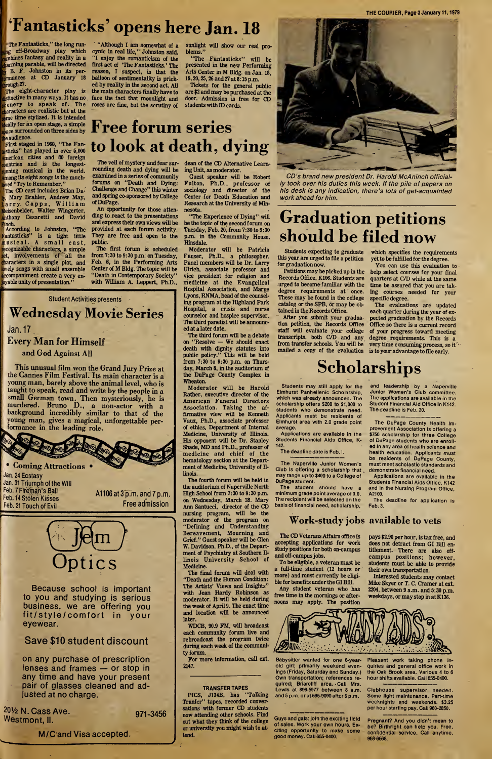THE COURIER, Page 3 January 11,1979

## 'Fantasticks' opens here Jan. 18

"The Fantasticks," the long run- ,g off-Broadway play which imbines fantasy and reality in a tarming parable, will be directed B. F. Johnston in its permances at CD January 18 jrough 27.

The eight-character play is Ustinctive in many ways. It has no enery to speak of. The characters are realistic but at the ame time stylized. It is intended deally for an open stage, a simple pace surrounded on three sides by he audience.

'First staged in 1960, "The Fanasticks" has played in over 5,000 merican cities and 80 foreign puntries and is the longestunning musical in the world. mong its eight songs is the muchved "Try to Remember."

The CD cast includes Brian Da-, Mary Brahler, Andrew May, Larry. Capps, William Meisenbelder, Walter Wingerter, Inthony Cesaretti and David

[Finch. , According to Johnston, "The Fantasticks" is a tight little musical. <sup>A</sup> small cast, recognizable characters, a simple et, involvements of all the haracters in a single plot, and lovely songs with small ensemble ccompaniment create a very enbyable unity of presentation.'

"Although I am somewhat of a cynic in real life," Johnston said, "I enjoy the romanticism of the first act of 'The Fantasticks.' The reason, I suspect, is that the balloon of sentimentality is pricked by reality in the second act. All the main characters finally have to face the fact that moonlight and roses are fine, but the scrutiny of

sunlight will show our real problems."

"The Fantasticks" will be presented in the new Performing Arts Center in M Bldg, on Jan. 18, 19,20,25,26 and 27 at 8:15 p.m.

Tickets for the general public are \$2 and may be purchased at the door. Admission is free for CD students with ID cards.

## Free forum series to look at death, dying

The veil of mystery and fear surrounding death and dying will be examined in a series of community forums on "Death and Dying: Challenge and Change" this winter and spring co-sponsored by College of DuPage.

An opportunity for those attending to react to the presentations and express their own views will be provided at each forum activity. They are free and open to the public.

The first forum is scheduled from 7:30 to 9:30 p.m. on Tuesday, Feb. 6, in the Performing Arts Center of M Bldg. The topic will be "Death in Contemporary Society" with William A. Leppert, Ph.D.,

dean of the CD Alternative Learn ing Unit, as moderator.

Guest speaker will be Robert Fulton, Ph.D., professor of sociology and director of the Center for Death Education and Research at the University of Min nesota.

"The Experience of Dying" will be the topic of the second forum on Tuesday, Feb. 20, from 7:30 to 9:30 p.m. in the Community House, Hinsdale.

Moderator will be Patricia Fauser, Ph.D., a philosopher. Panel members will be Dr. Larry Ulrich, associate professor and vice president for religion and medicine at the Evangelical Hospital Association, and Marge Lyons, RNMA, head of the counseling program at the Highland Park Hospital, a crisis and nurse counselor and hospice supervisor. The third panelist will be announced at a later date.

The third forum will be a debate on "Resolve — We should enact death with dignity statutes into public policy." This will be held from  $7:30$  to  $9:30$  p.m. on Thursday, March 8, in the auditorium of the DuPage County Complex in Wheaton.

Moderator will be Harold Rather, executive director of the American Funeral Directors Association. Taking the affirmative view will be Kenneth Vaux, Ph.D., associate professor of ethics. Department of Internal Medicine, University of Illinois. His opponent will be Dr. Stanley Shade, MD and Ph.D., professor of medicine and chief of the hematology section at the Department of Medicine, University of Illinois.

The fourth forum will be held in the auditorium of Naperville North High School from 7:30 to 9:30 p.m. on Wednesday, March 28. Mary Ann Santucci, director of the CD nursing program, will be the moderator of the program on "Defining and Understanding Bereavement, Mourning and Grief." Guest speaker will be Glen W. Davidson, Ph.D., of the Department of Psychiatry at Southern IIlinois University School of Medicine.

The final forum will deal with "Death and the Human Condition: The Artists' Views and Insights" with Jean Hardy Robinson as moderator. It will be held during the week of April 9. The exact time and location will be announced later

WDCB, 90.9 FM, will broadcast each community forum live and rebroadcast the program twice during each week of the community forum.

For more information, call ext. Babysitter wanted for one 6-year-2147.

#### TRANSFER TAPES

PICS, J134B, has "Talking Tranfer" tapes, recorded conversations with former CD students now attending other schools. Find out what they think of the college or university you might wish to attend.



CD's brand new president Dr. Harold McAninch officially took over his duties this week. If the pile of papers on his desk is any indication, there's lots of get-acquainted work ahead for him.

## Graduation petitions should be filed now

Students expecting to graduate this year are urged to file a petition for graduation now.

Petitions may be picked up in the Records Office, K106. Students are urged to become familiar with the degree requirements at once. These may be found in the college catalog or the SPB, or may be ob tained in the Records Office.

After you submit your graduation petition, the Records Office staff will evaluate your college transcripts, both C/D and any from transfer schools. You will be mailed a copy of the evaluation is to your advantage to file early.

which specifies the requirements yet to be fulfilled for the degree.

You can use this evaluation to help select courses for your final quarters at C/D while at the same time be assured that you are taking courses needed for your specific degree.

The evaluations are updated each quarter during the year of expected graduation by the Records Office so there is a current record of your progress toward meeting degree requirements. This is a very time consuming process, so it'

and leadership by a Naperville Junior Women's Club committee. The applications are available in the Student Financial Aid Office in K142.

The DuPage County Health Im provement Association is offering a \$750 scholarship for three College of DuPage students who are enrolled in any area of health science and health education. Applicants must be residents of DuPage County, must meet scholastic standards and demonstrate financial need.

Applications are available in the Students Financial Aids Office, K142 and in the Nursing Program Office,

The deadline for application is

The deadline is Feb. 20.

## **Scholarships**

A2100.

Feb. 3.

Students may still apply for the Elmhurst Panhellenic Scholarship, which was already announced. The scholarship offers \$200 to \$1,000 to students who demonstrate need. Applicants must be residents of Elmhurst area with 2.0 grade point average.

Applications are available in the Students Financial Aids Office, K-142.

The deadline date is Feb. I.

The Naperville Junior Women's Club is offering a scholarship that may range up to \$400 to a College of DuPage student.

The student should have a minimum grade point average of 3.0. The recipient will be selected on the basis of financial need, scholarship,

#### Work-study jobs available to vets

The CD Veterans Affairs office is accepting applications for work study positions for both on-campus and off-campus jobs.

To be eligible, a veteran must be a full-time student (12 hours or more) and must currently be eligible for benefits under the GI Bill.

Any student veteran who has free time in the mornings or afternoons may apply. The position

pays \$2.90 per hour, is tax free, and does not detract from GI Bill en titlement. There are also offcampus positions; however, students must be able to provide

their own transportation. Interested students may contact Mike Skyer or T. C. Cramer at ext. 2204, between 9 a.m. and 5:30 p.m. weekdays, or may stop in at K136.



old girl; primarily weekend evenings (Friday, Saturday and Sunday.) Own transportation; references required; Briarcliff area. Call Mrs. Lewis at 896-5977 between 8 a.m. and 5 p.m. or at 665-9090 after 6 p.m.

Guys and gals; join the exciting field of sales. Work your own hours. Exciting opportunity to make some good money. Call 655-0400.

Pleasant work taking phone inquiries and general office work in the Oak Brook area. Various 4 to 6 hour shifts available. Call 655-0400.

Clubhouse supervisor needed. Some light maintenance. Part-time weeknlghts and weekends. \$3.25 per hour starting pay. Call 960-2850.

Pregnant? And you didn't mean to be? Birthright can help you. Free, confidential service. Call anytime, 968-6668.

#### Jan.17 Every Man for Himself and God Against All

This unusual film won the Grand Jury Prize at the Cannes Film Festival. Its main character is a young man, barely above the animal level, who is taught to speak, read and write by the people in a small German town. Then mysteriously, he is murdered. Bruno D., a non-actor with a background incredibly similar to that of the young man, gives a magical, unforgettable per formance in the leading role.

Student Activities presents

Wednesday Movie Series



A1106 at 3 p.m. and 7 p.m. Free admission

# Optics

Because school is important to you and studying is serious business, we are offering you fit/style/comfort in your eyewear.

#### Save \$10 student discount

on any purchase of prescription lenses and frames — or stop in any time and have your present pair of glasses cleaned and adjusted at no charge.

<sup>2</sup>OV<sup>2</sup> N. Cass Ave. Westmont, II.

Feb. 14 Stolen Kisses Feb. <sup>21</sup> Touch of Evil

971-3456

M/C and Visa accepted.